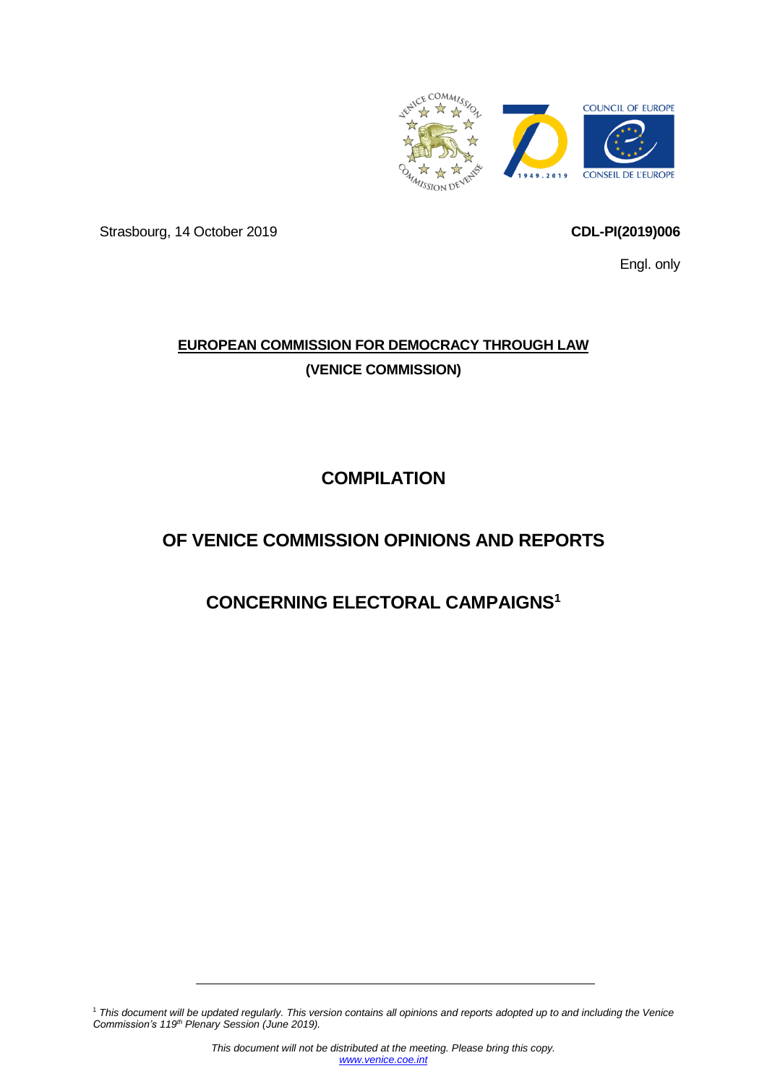

Strasbourg, 14 October 2019 **CDL-PI(2019)006**

<span id="page-0-0"></span>Engl. only

# **EUROPEAN COMMISSION FOR DEMOCRACY THROUGH LAW (VENICE COMMISSION)**

# **COMPILATION**

# **OF VENICE COMMISSION OPINIONS AND REPORTS**

# **CONCERNING ELECTORAL CAMPAIGNS1**

<sup>1</sup> *This document will be updated regularly. This version contains all opinions and reports adopted up to and including the Venice Commission's 119th Plenary Session (June 2019).*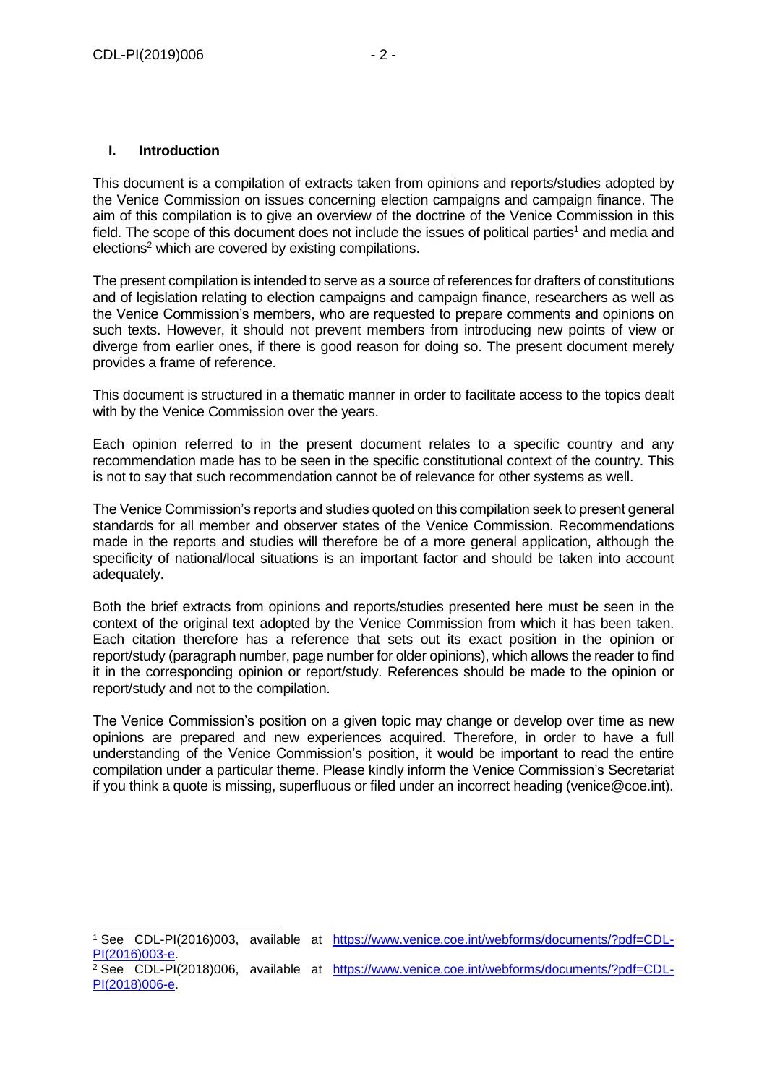## **I. Introduction**

-

[PI\(2018\)006-e.](https://www.venice.coe.int/webforms/documents/?pdf=CDL-PI(2018)006-e)

This document is a compilation of extracts taken from opinions and reports/studies adopted by the Venice Commission on issues concerning election campaigns and campaign finance. The aim of this compilation is to give an overview of the doctrine of the Venice Commission in this field. The scope of this document does not include the issues of political parties<sup>1</sup> and media and elections<sup>2</sup> which are covered by existing compilations.

The present compilation is intended to serve as a source of references for drafters of constitutions and of legislation relating to election campaigns and campaign finance, researchers as well as the Venice Commission's members, who are requested to prepare comments and opinions on such texts. However, it should not prevent members from introducing new points of view or diverge from earlier ones, if there is good reason for doing so. The present document merely provides a frame of reference.

This document is structured in a thematic manner in order to facilitate access to the topics dealt with by the Venice Commission over the years.

Each opinion referred to in the present document relates to a specific country and any recommendation made has to be seen in the specific constitutional context of the country. This is not to say that such recommendation cannot be of relevance for other systems as well.

The Venice Commission's reports and studies quoted on this compilation seek to present general standards for all member and observer states of the Venice Commission. Recommendations made in the reports and studies will therefore be of a more general application, although the specificity of national/local situations is an important factor and should be taken into account adequately.

Both the brief extracts from opinions and reports/studies presented here must be seen in the context of the original text adopted by the Venice Commission from which it has been taken. Each citation therefore has a reference that sets out its exact position in the opinion or report/study (paragraph number, page number for older opinions), which allows the reader to find it in the corresponding opinion or report/study. References should be made to the opinion or report/study and not to the compilation.

The Venice Commission's position on a given topic may change or develop over time as new opinions are prepared and new experiences acquired. Therefore, in order to have a full understanding of the Venice Commission's position, it would be important to read the entire compilation under a particular theme. Please kindly inform the Venice Commission's Secretariat if you think a quote is missing, superfluous or filed under an incorrect heading (venice@coe.int).

<sup>1</sup> See CDL-PI(2016)003, available at [https://www.venice.coe.int/webforms/documents/?pdf=CDL-](https://www.venice.coe.int/webforms/documents/?pdf=CDL-PI(2016)003-e)[PI\(2016\)003-e.](https://www.venice.coe.int/webforms/documents/?pdf=CDL-PI(2016)003-e) <sup>2</sup> See CDL-PI(2018)006, available at [https://www.venice.coe.int/webforms/documents/?pdf=CDL-](https://www.venice.coe.int/webforms/documents/?pdf=CDL-PI(2018)006-e)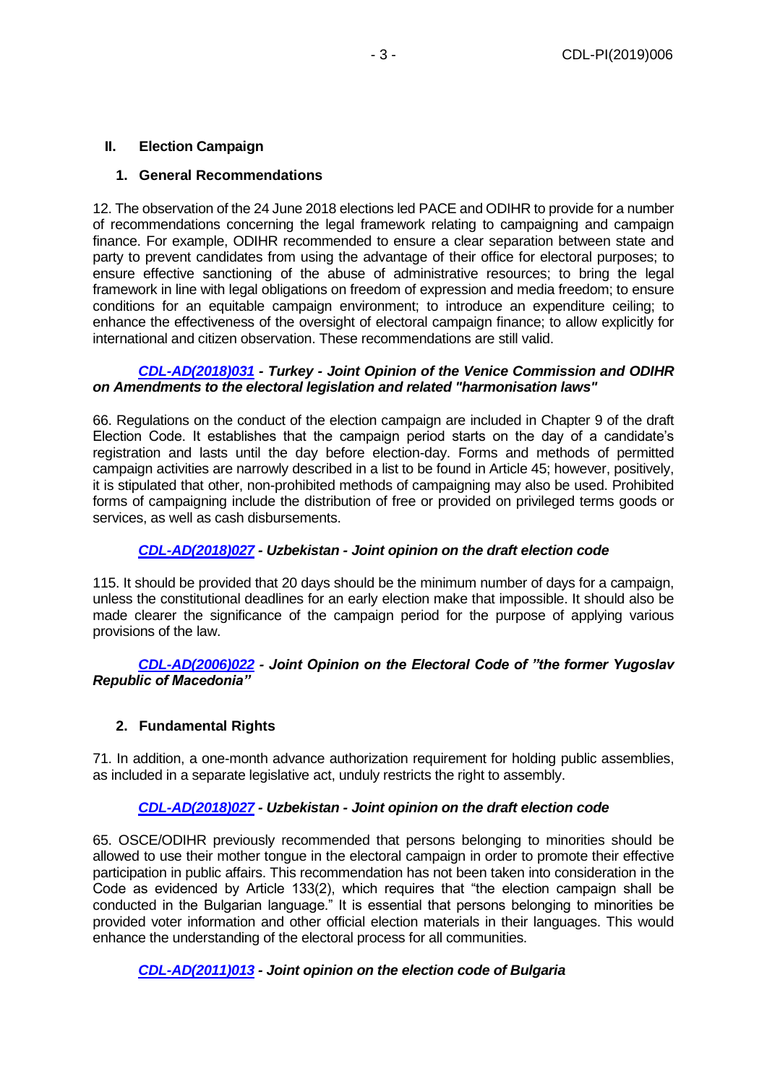## **II. Election Campaign**

### **1. General Recommendations**

12. The observation of the 24 June 2018 elections led PACE and ODIHR to provide for a number of recommendations concerning the legal framework relating to campaigning and campaign finance. For example, ODIHR recommended to ensure a clear separation between state and party to prevent candidates from using the advantage of their office for electoral purposes; to ensure effective sanctioning of the abuse of administrative resources; to bring the legal framework in line with legal obligations on freedom of expression and media freedom; to ensure conditions for an equitable campaign environment; to introduce an expenditure ceiling; to enhance the effectiveness of the oversight of electoral campaign finance; to allow explicitly for international and citizen observation. These recommendations are still valid.

#### *[CDL-AD\(2018\)031](https://www.venice.coe.int/webforms/documents/default.aspx?pdffile=CDL-AD(2018)031-e) - Turkey - Joint Opinion of the Venice Commission and ODIHR on Amendments to the electoral legislation and related "harmonisation laws"*

66. Regulations on the conduct of the election campaign are included in Chapter 9 of the draft Election Code. It establishes that the campaign period starts on the day of a candidate's registration and lasts until the day before election-day. Forms and methods of permitted campaign activities are narrowly described in a list to be found in Article 45; however, positively, it is stipulated that other, non-prohibited methods of campaigning may also be used. Prohibited forms of campaigning include the distribution of free or provided on privileged terms goods or services, as well as cash disbursements.

## *[CDL-AD\(2018\)027](https://www.venice.coe.int/webforms/documents/default.aspx?pdffile=CDL-AD(2018)027-e) - Uzbekistan - Joint opinion on the draft election code*

115. It should be provided that 20 days should be the minimum number of days for a campaign, unless the constitutional deadlines for an early election make that impossible. It should also be made clearer the significance of the campaign period for the purpose of applying various provisions of the law.

### *[CDL-AD\(2006\)022](https://www.venice.coe.int/webforms/documents/default.aspx?pdffile=CDL-AD(2006)022-e) - Joint Opinion on the Electoral Code of "the former Yugoslav Republic of Macedonia"*

## **2. Fundamental Rights**

71. In addition, a one-month advance authorization requirement for holding public assemblies, as included in a separate legislative act, unduly restricts the right to assembly.

#### *[CDL-AD\(2018\)027](https://www.venice.coe.int/webforms/documents/default.aspx?pdffile=CDL-AD(2018)027-e) - Uzbekistan - Joint opinion on the draft election code*

65. OSCE/ODIHR previously recommended that persons belonging to minorities should be allowed to use their mother tongue in the electoral campaign in order to promote their effective participation in public affairs. This recommendation has not been taken into consideration in the Code as evidenced by Article 133(2), which requires that "the election campaign shall be conducted in the Bulgarian language." It is essential that persons belonging to minorities be provided voter information and other official election materials in their languages. This would enhance the understanding of the electoral process for all communities.

## *[CDL-AD\(2011\)013](https://www.venice.coe.int/webforms/documents/default.aspx?pdffile=CDL-AD(2011)013-e) - Joint opinion on the election code of Bulgaria*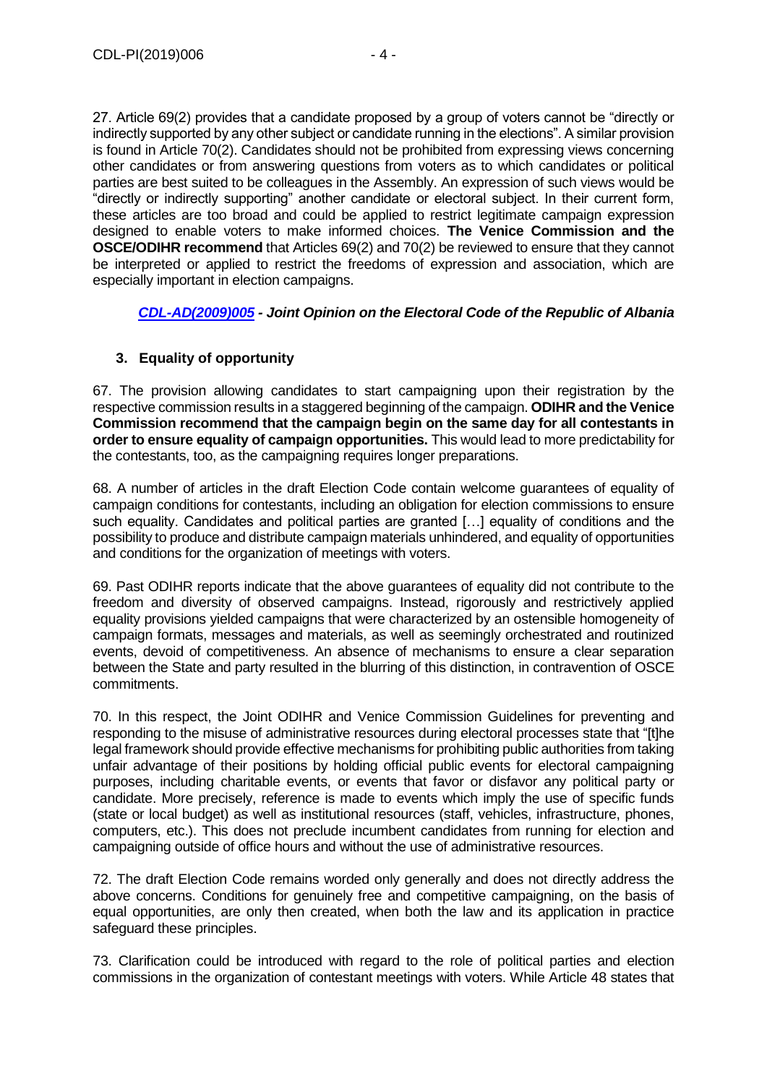27. Article 69(2) provides that a candidate proposed by a group of voters cannot be "directly or indirectly supported by any other subject or candidate running in the elections". A similar provision is found in Article 70(2). Candidates should not be prohibited from expressing views concerning other candidates or from answering questions from voters as to which candidates or political parties are best suited to be colleagues in the Assembly. An expression of such views would be "directly or indirectly supporting" another candidate or electoral subject. In their current form, these articles are too broad and could be applied to restrict legitimate campaign expression designed to enable voters to make informed choices. **The Venice Commission and the OSCE/ODIHR recommend** that Articles 69(2) and 70(2) be reviewed to ensure that they cannot be interpreted or applied to restrict the freedoms of expression and association, which are especially important in election campaigns.

## *[CDL-AD\(2009\)005](https://www.venice.coe.int/webforms/documents/default.aspx?pdffile=CDL-AD(2009)005-e) - Joint Opinion on the Electoral Code of the Republic of Albania*

## **3. Equality of opportunity**

67. The provision allowing candidates to start campaigning upon their registration by the respective commission results in a staggered beginning of the campaign. **ODIHR and the Venice Commission recommend that the campaign begin on the same day for all contestants in order to ensure equality of campaign opportunities.** This would lead to more predictability for the contestants, too, as the campaigning requires longer preparations.

68. A number of articles in the draft Election Code contain welcome guarantees of equality of campaign conditions for contestants, including an obligation for election commissions to ensure such equality. Candidates and political parties are granted […] equality of conditions and the possibility to produce and distribute campaign materials unhindered, and equality of opportunities and conditions for the organization of meetings with voters.

69. Past ODIHR reports indicate that the above guarantees of equality did not contribute to the freedom and diversity of observed campaigns. Instead, rigorously and restrictively applied equality provisions yielded campaigns that were characterized by an ostensible homogeneity of campaign formats, messages and materials, as well as seemingly orchestrated and routinized events, devoid of competitiveness. An absence of mechanisms to ensure a clear separation between the State and party resulted in the blurring of this distinction, in contravention of OSCE commitments.

70. In this respect, the Joint ODIHR and Venice Commission Guidelines for preventing and responding to the misuse of administrative resources during electoral processes state that "[t]he legal framework should provide effective mechanisms for prohibiting public authorities from taking unfair advantage of their positions by holding official public events for electoral campaigning purposes, including charitable events, or events that favor or disfavor any political party or candidate. More precisely, reference is made to events which imply the use of specific funds (state or local budget) as well as institutional resources (staff, vehicles, infrastructure, phones, computers, etc.). This does not preclude incumbent candidates from running for election and campaigning outside of office hours and without the use of administrative resources.

72. The draft Election Code remains worded only generally and does not directly address the above concerns. Conditions for genuinely free and competitive campaigning, on the basis of equal opportunities, are only then created, when both the law and its application in practice safeguard these principles.

73. Clarification could be introduced with regard to the role of political parties and election commissions in the organization of contestant meetings with voters. While Article 48 states that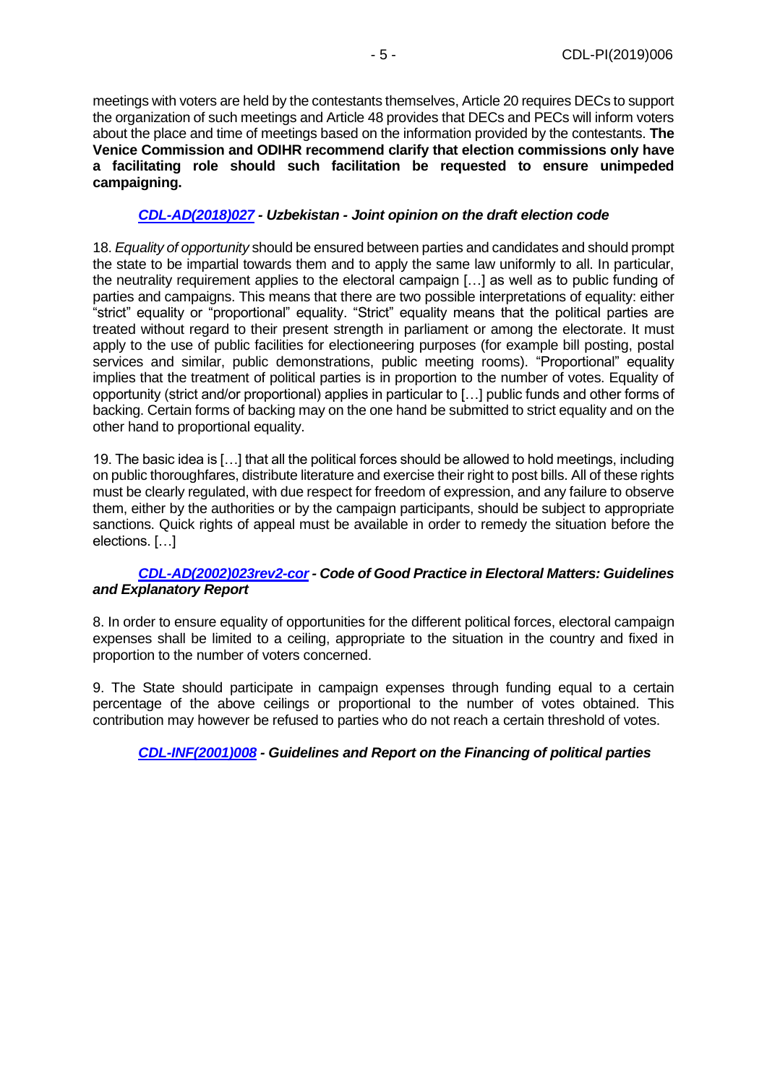meetings with voters are held by the contestants themselves, Article 20 requires DECs to support the organization of such meetings and Article 48 provides that DECs and PECs will inform voters about the place and time of meetings based on the information provided by the contestants. **The Venice Commission and ODIHR recommend clarify that election commissions only have a facilitating role should such facilitation be requested to ensure unimpeded campaigning.**

## *[CDL-AD\(2018\)027](https://www.venice.coe.int/webforms/documents/default.aspx?pdffile=CDL-AD(2018)027-e) - Uzbekistan - Joint opinion on the draft election code*

18. *Equality of opportunity* should be ensured between parties and candidates and should prompt the state to be impartial towards them and to apply the same law uniformly to all. In particular, the neutrality requirement applies to the electoral campaign […] as well as to public funding of parties and campaigns. This means that there are two possible interpretations of equality: either "strict" equality or "proportional" equality. "Strict" equality means that the political parties are treated without regard to their present strength in parliament or among the electorate. It must apply to the use of public facilities for electioneering purposes (for example bill posting, postal services and similar, public demonstrations, public meeting rooms). "Proportional" equality implies that the treatment of political parties is in proportion to the number of votes. Equality of opportunity (strict and/or proportional) applies in particular to […] public funds and other forms of backing. Certain forms of backing may on the one hand be submitted to strict equality and on the other hand to proportional equality.

19. The basic idea is […] that all the political forces should be allowed to hold meetings, including on public thoroughfares, distribute literature and exercise their right to post bills. All of these rights must be clearly regulated, with due respect for freedom of expression, and any failure to observe them, either by the authorities or by the campaign participants, should be subject to appropriate sanctions. Quick rights of appeal must be available in order to remedy the situation before the elections. […]

## *[CDL-AD\(2002\)023rev2-cor](https://www.venice.coe.int/webforms/documents/default.aspx?pdffile=CDL-AD(2002)023rev2-cor-e) - Code of Good Practice in Electoral Matters: Guidelines and Explanatory Report*

8. In order to ensure equality of opportunities for the different political forces, electoral campaign expenses shall be limited to a ceiling, appropriate to the situation in the country and fixed in proportion to the number of voters concerned.

9. The State should participate in campaign expenses through funding equal to a certain percentage of the above ceilings or proportional to the number of votes obtained. This contribution may however be refused to parties who do not reach a certain threshold of votes.

## *[CDL-INF\(2001\)008](https://www.venice.coe.int/webforms/documents/default.aspx?pdffile=CDL-INF(2001)008-e) - Guidelines and Report on the Financing of political parties*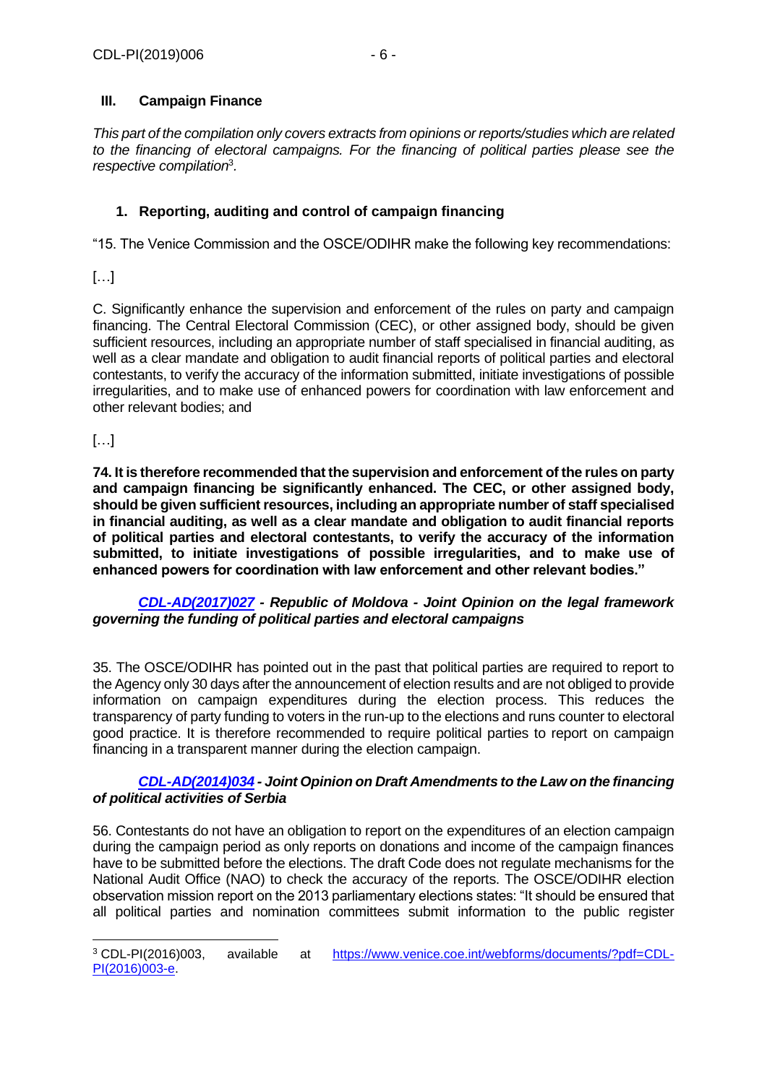## **III. Campaign Finance**

*This part of the compilation only covers extracts from opinions or reports/studies which are related to the financing of electoral campaigns. For the financing of political parties please see the respective compilation*<sup>3</sup> *.*

## **1. Reporting, auditing and control of campaign financing**

"15. The Venice Commission and the OSCE/ODIHR make the following key recommendations:

[…]

C. Significantly enhance the supervision and enforcement of the rules on party and campaign financing. The Central Electoral Commission (CEC), or other assigned body, should be given sufficient resources, including an appropriate number of staff specialised in financial auditing, as well as a clear mandate and obligation to audit financial reports of political parties and electoral contestants, to verify the accuracy of the information submitted, initiate investigations of possible irregularities, and to make use of enhanced powers for coordination with law enforcement and other relevant bodies; and

## $[\ldots]$

-

**74. It is therefore recommended that the supervision and enforcement of the rules on party and campaign financing be significantly enhanced. The CEC, or other assigned body, should be given sufficient resources, including an appropriate number of staff specialised in financial auditing, as well as a clear mandate and obligation to audit financial reports of political parties and electoral contestants, to verify the accuracy of the information submitted, to initiate investigations of possible irregularities, and to make use of enhanced powers for coordination with law enforcement and other relevant bodies."**

## *[CDL-AD\(2017\)027](https://www.venice.coe.int/webforms/documents/default.aspx?pdffile=CDL-AD(2017)027-e) - Republic of Moldova - Joint Opinion on the legal framework governing the funding of political parties and electoral campaigns*

35. The OSCE/ODIHR has pointed out in the past that political parties are required to report to the Agency only 30 days after the announcement of election results and are not obliged to provide information on campaign expenditures during the election process. This reduces the transparency of party funding to voters in the run-up to the elections and runs counter to electoral good practice. It is therefore recommended to require political parties to report on campaign financing in a transparent manner during the election campaign.

## *[CDL-AD\(2014\)034](https://www.venice.coe.int/webforms/documents/default.aspx?pdffile=CDL-AD(2014)034-e) - Joint Opinion on Draft Amendments to the Law on the financing of political activities of Serbia*

56. Contestants do not have an obligation to report on the expenditures of an election campaign during the campaign period as only reports on donations and income of the campaign finances have to be submitted before the elections. The draft Code does not regulate mechanisms for the National Audit Office (NAO) to check the accuracy of the reports. The OSCE/ODIHR election observation mission report on the 2013 parliamentary elections states: "It should be ensured that all political parties and nomination committees submit information to the public register

<sup>3</sup> CDL-PI(2016)003, available at [https://www.venice.coe.int/webforms/documents/?pdf=CDL-](https://www.venice.coe.int/webforms/documents/?pdf=CDL-PI(2016)003-e)[PI\(2016\)003-e.](https://www.venice.coe.int/webforms/documents/?pdf=CDL-PI(2016)003-e)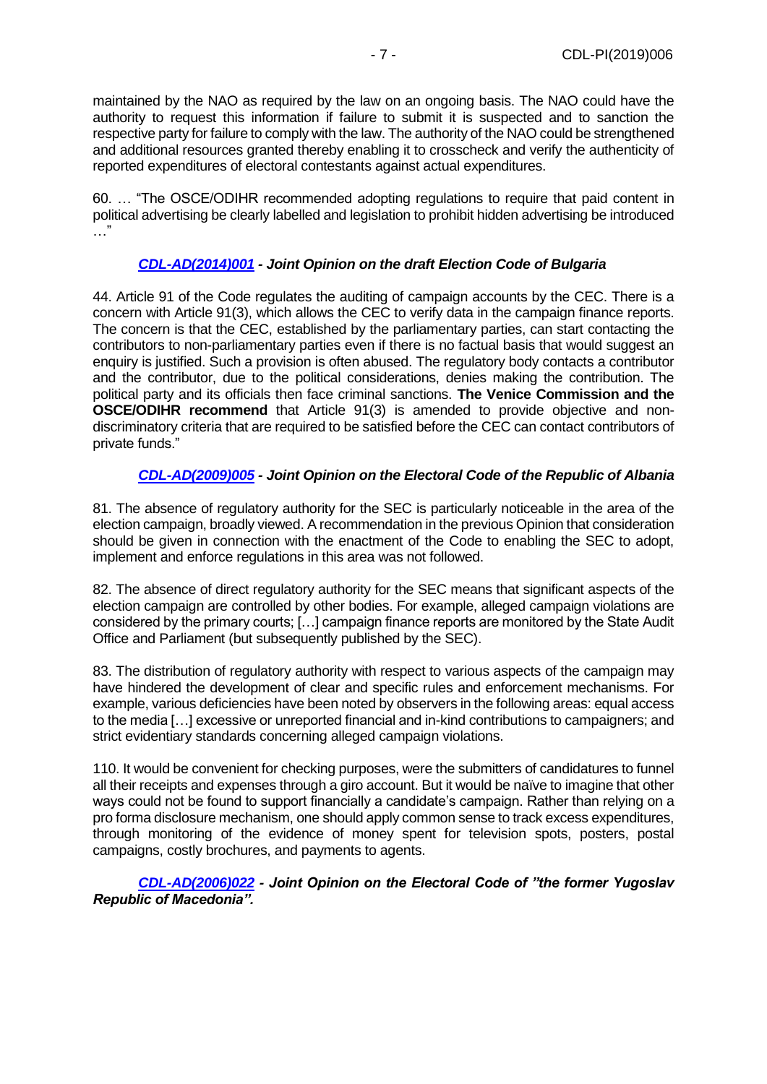maintained by the NAO as required by the law on an ongoing basis. The NAO could have the authority to request this information if failure to submit it is suspected and to sanction the respective party for failure to comply with the law. The authority of the NAO could be strengthened and additional resources granted thereby enabling it to crosscheck and verify the authenticity of reported expenditures of electoral contestants against actual expenditures.

60. … "The OSCE/ODIHR recommended adopting regulations to require that paid content in political advertising be clearly labelled and legislation to prohibit hidden advertising be introduced …"

## *[CDL-AD\(2014\)001](https://www.venice.coe.int/webforms/documents/default.aspx?pdffile=CDL-AD(2014)001-e) - Joint Opinion on the draft Election Code of Bulgaria*

44. Article 91 of the Code regulates the auditing of campaign accounts by the CEC. There is a concern with Article 91(3), which allows the CEC to verify data in the campaign finance reports. The concern is that the CEC, established by the parliamentary parties, can start contacting the contributors to non-parliamentary parties even if there is no factual basis that would suggest an enquiry is justified. Such a provision is often abused. The regulatory body contacts a contributor and the contributor, due to the political considerations, denies making the contribution. The political party and its officials then face criminal sanctions. **The Venice Commission and the OSCE/ODIHR recommend** that Article 91(3) is amended to provide objective and nondiscriminatory criteria that are required to be satisfied before the CEC can contact contributors of private funds."

## *[CDL-AD\(2009\)005](https://www.venice.coe.int/webforms/documents/default.aspx?pdffile=CDL-AD(2009)005-e) - Joint Opinion on the Electoral Code of the Republic of Albania*

81. The absence of regulatory authority for the SEC is particularly noticeable in the area of the election campaign, broadly viewed. A recommendation in the previous Opinion that consideration should be given in connection with the enactment of the Code to enabling the SEC to adopt, implement and enforce regulations in this area was not followed.

82. The absence of direct regulatory authority for the SEC means that significant aspects of the election campaign are controlled by other bodies. For example, alleged campaign violations are considered by the primary courts; […] campaign finance reports are monitored by the State Audit Office and Parliament (but subsequently published by the SEC).

83. The distribution of regulatory authority with respect to various aspects of the campaign may have hindered the development of clear and specific rules and enforcement mechanisms. For example, various deficiencies have been noted by observers in the following areas: equal access to the media […] excessive or unreported financial and in-kind contributions to campaigners; and strict evidentiary standards concerning alleged campaign violations.

110. It would be convenient for checking purposes, were the submitters of candidatures to funnel all their receipts and expenses through a giro account. But it would be naïve to imagine that other ways could not be found to support financially a candidate's campaign. Rather than relying on a pro forma disclosure mechanism, one should apply common sense to track excess expenditures, through monitoring of the evidence of money spent for television spots, posters, postal campaigns, costly brochures, and payments to agents.

*[CDL-AD\(2006\)022](https://www.venice.coe.int/webforms/documents/default.aspx?pdffile=CDL-AD(2006)022-e) - Joint Opinion on the Electoral Code of "the former Yugoslav Republic of Macedonia".*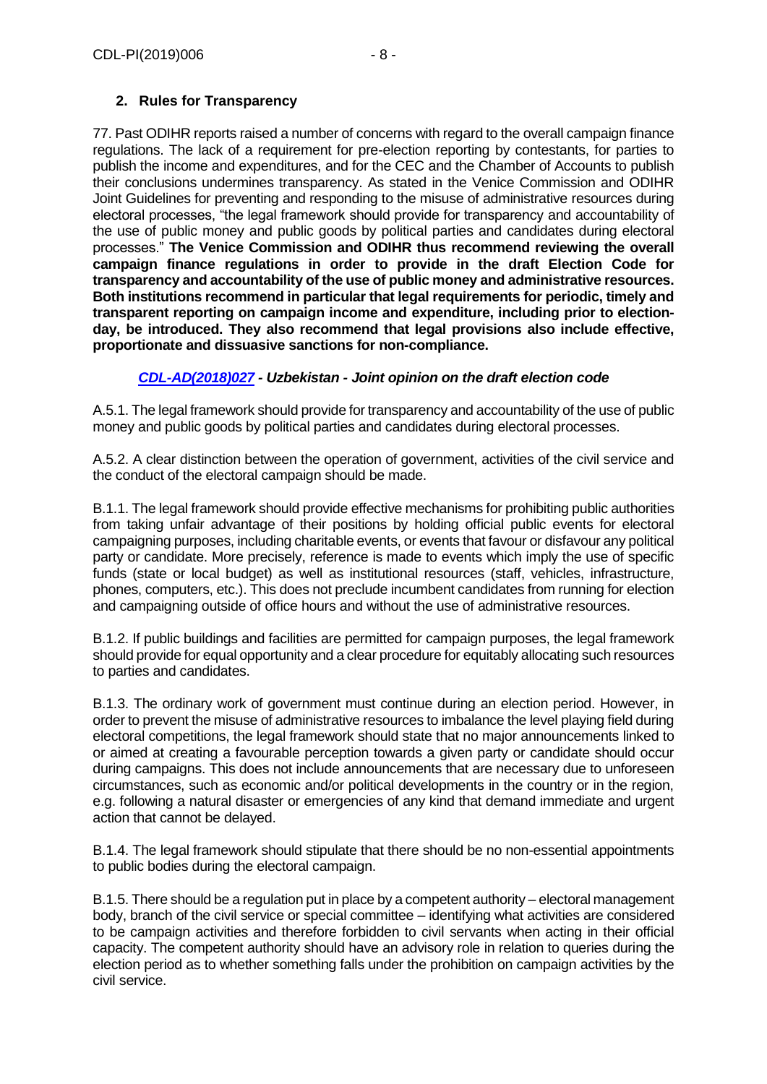## **2. Rules for Transparency**

77. Past ODIHR reports raised a number of concerns with regard to the overall campaign finance regulations. The lack of a requirement for pre-election reporting by contestants, for parties to publish the income and expenditures, and for the CEC and the Chamber of Accounts to publish their conclusions undermines transparency. As stated in the Venice Commission and ODIHR Joint Guidelines for preventing and responding to the misuse of administrative resources during electoral processes, "the legal framework should provide for transparency and accountability of the use of public money and public goods by political parties and candidates during electoral processes." **The Venice Commission and ODIHR thus recommend reviewing the overall campaign finance regulations in order to provide in the draft Election Code for transparency and accountability of the use of public money and administrative resources. Both institutions recommend in particular that legal requirements for periodic, timely and transparent reporting on campaign income and expenditure, including prior to electionday, be introduced. They also recommend that legal provisions also include effective, proportionate and dissuasive sanctions for non-compliance.**

## *[CDL-AD\(2018\)027](https://www.venice.coe.int/webforms/documents/default.aspx?pdffile=CDL-AD(2018)027-e) - Uzbekistan - Joint opinion on the draft election code*

A.5.1. The legal framework should provide for transparency and accountability of the use of public money and public goods by political parties and candidates during electoral processes.

A.5.2. A clear distinction between the operation of government, activities of the civil service and the conduct of the electoral campaign should be made.

B.1.1. The legal framework should provide effective mechanisms for prohibiting public authorities from taking unfair advantage of their positions by holding official public events for electoral campaigning purposes, including charitable events, or events that favour or disfavour any political party or candidate. More precisely, reference is made to events which imply the use of specific funds (state or local budget) as well as institutional resources (staff, vehicles, infrastructure, phones, computers, etc.). This does not preclude incumbent candidates from running for election and campaigning outside of office hours and without the use of administrative resources.

B.1.2. If public buildings and facilities are permitted for campaign purposes, the legal framework should provide for equal opportunity and a clear procedure for equitably allocating such resources to parties and candidates.

B.1.3. The ordinary work of government must continue during an election period. However, in order to prevent the misuse of administrative resources to imbalance the level playing field during electoral competitions, the legal framework should state that no major announcements linked to or aimed at creating a favourable perception towards a given party or candidate should occur during campaigns. This does not include announcements that are necessary due to unforeseen circumstances, such as economic and/or political developments in the country or in the region, e.g. following a natural disaster or emergencies of any kind that demand immediate and urgent action that cannot be delayed.

B.1.4. The legal framework should stipulate that there should be no non-essential appointments to public bodies during the electoral campaign.

B.1.5. There should be a regulation put in place by a competent authority – electoral management body, branch of the civil service or special committee – identifying what activities are considered to be campaign activities and therefore forbidden to civil servants when acting in their official capacity. The competent authority should have an advisory role in relation to queries during the election period as to whether something falls under the prohibition on campaign activities by the civil service.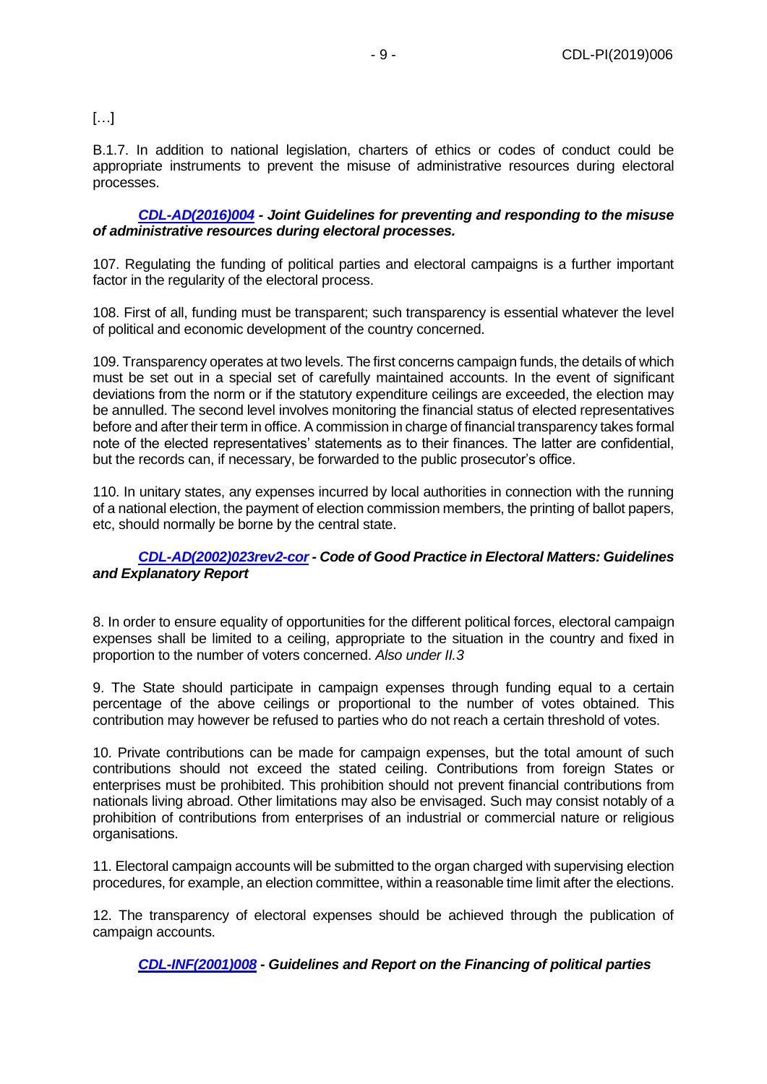## $[\ldots]$

B.1.7. In addition to national legislation, charters of ethics or codes of conduct could be appropriate instruments to prevent the misuse of administrative resources during electoral processes.

## *[CDL-AD\(2016\)004](https://www.venice.coe.int/webforms/documents/default.aspx?pdffile=CDL-AD(2016)004-e) - Joint Guidelines for preventing and responding to the misuse of administrative resources during electoral processes.*

107. Regulating the funding of political parties and electoral campaigns is a further important factor in the regularity of the electoral process.

108. First of all, funding must be transparent; such transparency is essential whatever the level of political and economic development of the country concerned.

109. Transparency operates at two levels. The first concerns campaign funds, the details of which must be set out in a special set of carefully maintained accounts. In the event of significant deviations from the norm or if the statutory expenditure ceilings are exceeded, the election may be annulled. The second level involves monitoring the financial status of elected representatives before and after their term in office. A commission in charge of financial transparency takes formal note of the elected representatives' statements as to their finances. The latter are confidential, but the records can, if necessary, be forwarded to the public prosecutor's office.

110. In unitary states, any expenses incurred by local authorities in connection with the running of a national election, the payment of election commission members, the printing of ballot papers, etc, should normally be borne by the central state.

## *[CDL-AD\(2002\)023rev2-cor](https://www.venice.coe.int/webforms/documents/default.aspx?pdffile=CDL-AD(2002)023rev2-cor-e) - Code of Good Practice in Electoral Matters: Guidelines and Explanatory Report*

8. In order to ensure equality of opportunities for the different political forces, electoral campaign expenses shall be limited to a ceiling, appropriate to the situation in the country and fixed in proportion to the number of voters concerned. *Also under II.3*

9. The State should participate in campaign expenses through funding equal to a certain percentage of the above ceilings or proportional to the number of votes obtained. This contribution may however be refused to parties who do not reach a certain threshold of votes.

10. Private contributions can be made for campaign expenses, but the total amount of such contributions should not exceed the stated ceiling. Contributions from foreign States or enterprises must be prohibited. This prohibition should not prevent financial contributions from nationals living abroad. Other limitations may also be envisaged. Such may consist notably of a prohibition of contributions from enterprises of an industrial or commercial nature or religious organisations.

11. Electoral campaign accounts will be submitted to the organ charged with supervising election procedures, for example, an election committee, within a reasonable time limit after the elections.

12. The transparency of electoral expenses should be achieved through the publication of campaign accounts.

*[CDL-INF\(2001\)008](https://www.venice.coe.int/webforms/documents/default.aspx?pdffile=CDL-INF(2001)008-e) - Guidelines and Report on the Financing of political parties*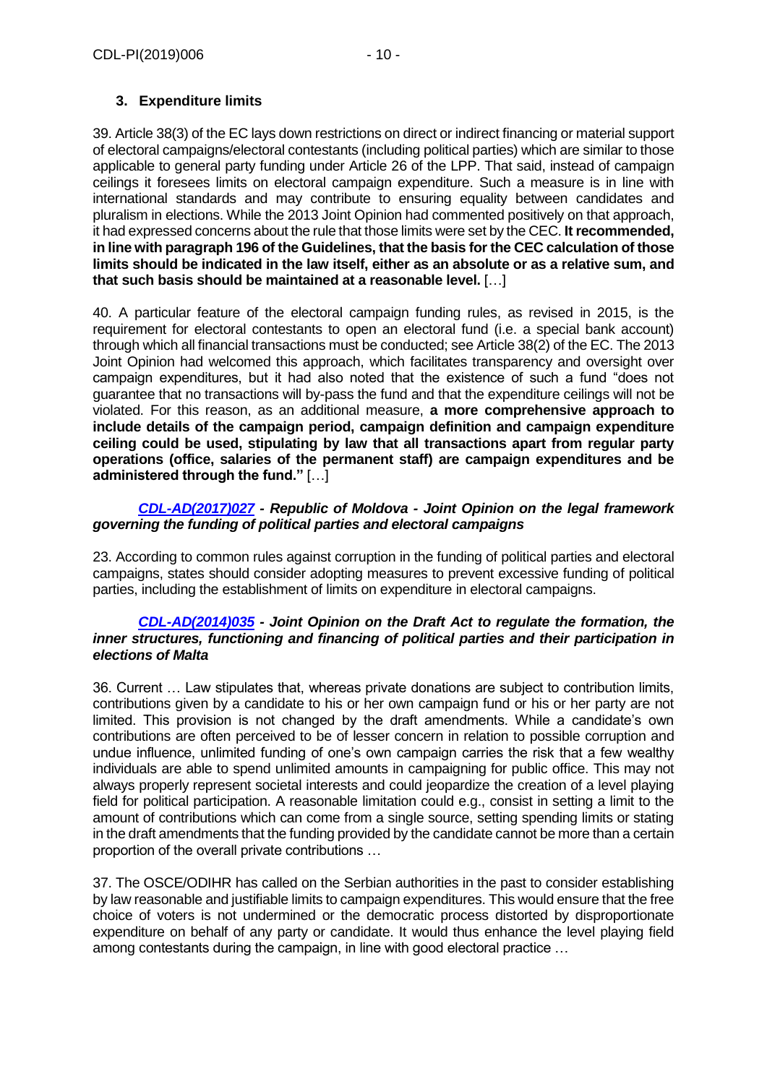## **3. Expenditure limits**

39. Article 38(3) of the EC lays down restrictions on direct or indirect financing or material support of electoral campaigns/electoral contestants (including political parties) which are similar to those applicable to general party funding under Article 26 of the LPP. That said, instead of campaign ceilings it foresees limits on electoral campaign expenditure. Such a measure is in line with international standards and may contribute to ensuring equality between candidates and pluralism in elections. While the 2013 Joint Opinion had commented positively on that approach, it had expressed concerns about the rule that those limits were set by the CEC. **It recommended, in line with paragraph 196 of the Guidelines, that the basis for the CEC calculation of those limits should be indicated in the law itself, either as an absolute or as a relative sum, and that such basis should be maintained at a reasonable level.** […]

40. A particular feature of the electoral campaign funding rules, as revised in 2015, is the requirement for electoral contestants to open an electoral fund (i.e. a special bank account) through which all financial transactions must be conducted; see Article 38(2) of the EC. The 2013 Joint Opinion had welcomed this approach, which facilitates transparency and oversight over campaign expenditures, but it had also noted that the existence of such a fund "does not guarantee that no transactions will by-pass the fund and that the expenditure ceilings will not be violated. For this reason, as an additional measure, **a more comprehensive approach to include details of the campaign period, campaign definition and campaign expenditure ceiling could be used, stipulating by law that all transactions apart from regular party operations (office, salaries of the permanent staff) are campaign expenditures and be administered through the fund."** […]

## *[CDL-AD\(2017\)027](https://www.venice.coe.int/webforms/documents/default.aspx?pdffile=CDL-AD(2017)027-e) - Republic of Moldova - Joint Opinion on the legal framework governing the funding of political parties and electoral campaigns*

23. According to common rules against corruption in the funding of political parties and electoral campaigns, states should consider adopting measures to prevent excessive funding of political parties, including the establishment of limits on expenditure in electoral campaigns.

## *[CDL-AD\(2014\)035](https://www.venice.coe.int/webforms/documents/default.aspx?pdffile=CDL-AD(2014)035-e) - Joint Opinion on the Draft Act to regulate the formation, the inner structures, functioning and financing of political parties and their participation in elections of Malta*

36. Current … Law stipulates that, whereas private donations are subject to contribution limits, contributions given by a candidate to his or her own campaign fund or his or her party are not limited. This provision is not changed by the draft amendments. While a candidate's own contributions are often perceived to be of lesser concern in relation to possible corruption and undue influence, unlimited funding of one's own campaign carries the risk that a few wealthy individuals are able to spend unlimited amounts in campaigning for public office. This may not always properly represent societal interests and could jeopardize the creation of a level playing field for political participation. A reasonable limitation could e.g., consist in setting a limit to the amount of contributions which can come from a single source, setting spending limits or stating in the draft amendments that the funding provided by the candidate cannot be more than a certain proportion of the overall private contributions …

37. The OSCE/ODIHR has called on the Serbian authorities in the past to consider establishing by law reasonable and justifiable limits to campaign expenditures. This would ensure that the free choice of voters is not undermined or the democratic process distorted by disproportionate expenditure on behalf of any party or candidate. It would thus enhance the level playing field among contestants during the campaign, in line with good electoral practice …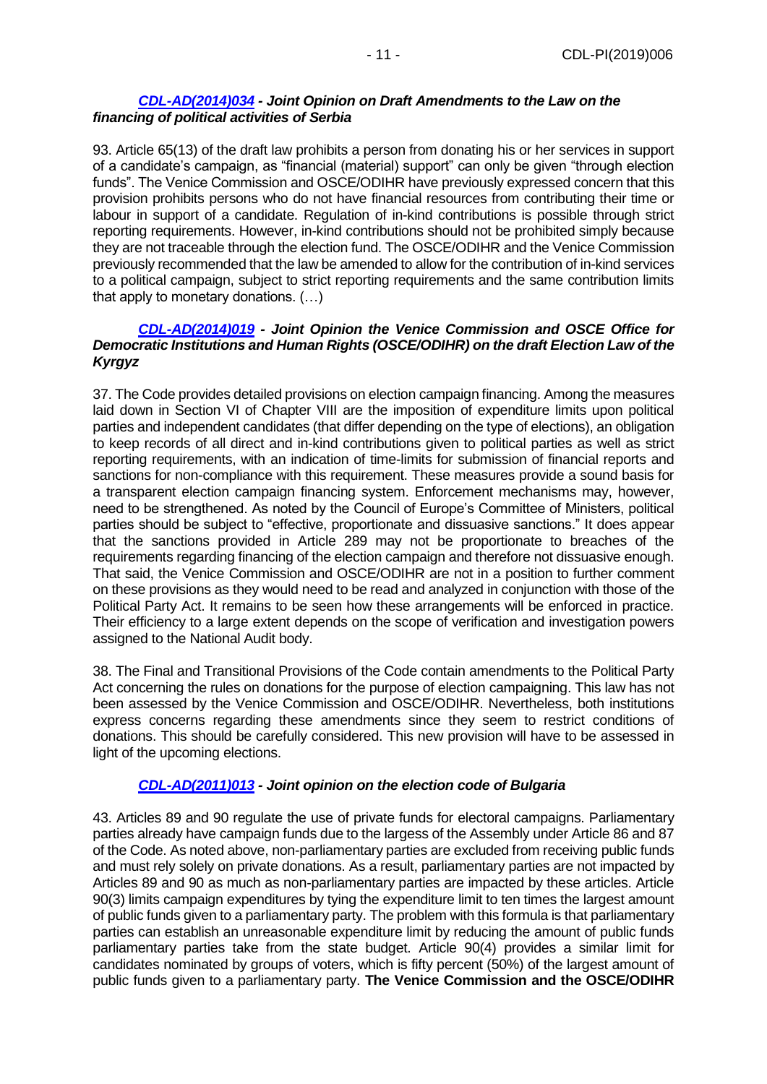## *[CDL-AD\(2014\)034](https://www.venice.coe.int/webforms/documents/default.aspx?pdffile=CDL-AD(2014)034-e) - Joint Opinion on Draft Amendments to the Law on the financing of political activities of Serbia*

93. Article 65(13) of the draft law prohibits a person from donating his or her services in support of a candidate's campaign, as "financial (material) support" can only be given "through election funds". The Venice Commission and OSCE/ODIHR have previously expressed concern that this provision prohibits persons who do not have financial resources from contributing their time or labour in support of a candidate. Regulation of in-kind contributions is possible through strict reporting requirements. However, in-kind contributions should not be prohibited simply because they are not traceable through the election fund. The OSCE/ODIHR and the Venice Commission previously recommended that the law be amended to allow for the contribution of in-kind services to a political campaign, subject to strict reporting requirements and the same contribution limits that apply to monetary donations. (…)

## *[CDL-AD\(2014\)019](https://www.venice.coe.int/webforms/documents/default.aspx?pdffile=CDL-AD(2014)019-e) - Joint Opinion the Venice Commission and OSCE Office for Democratic Institutions and Human Rights (OSCE/ODIHR) on the draft Election Law of the Kyrgyz*

37. The Code provides detailed provisions on election campaign financing. Among the measures laid down in Section VI of Chapter VIII are the imposition of expenditure limits upon political parties and independent candidates (that differ depending on the type of elections), an obligation to keep records of all direct and in-kind contributions given to political parties as well as strict reporting requirements, with an indication of time-limits for submission of financial reports and sanctions for non-compliance with this requirement. These measures provide a sound basis for a transparent election campaign financing system. Enforcement mechanisms may, however, need to be strengthened. As noted by the Council of Europe's Committee of Ministers, political parties should be subject to "effective, proportionate and dissuasive sanctions." It does appear that the sanctions provided in Article 289 may not be proportionate to breaches of the requirements regarding financing of the election campaign and therefore not dissuasive enough. That said, the Venice Commission and OSCE/ODIHR are not in a position to further comment on these provisions as they would need to be read and analyzed in conjunction with those of the Political Party Act. It remains to be seen how these arrangements will be enforced in practice. Their efficiency to a large extent depends on the scope of verification and investigation powers assigned to the National Audit body.

38. The Final and Transitional Provisions of the Code contain amendments to the Political Party Act concerning the rules on donations for the purpose of election campaigning. This law has not been assessed by the Venice Commission and OSCE/ODIHR. Nevertheless, both institutions express concerns regarding these amendments since they seem to restrict conditions of donations. This should be carefully considered. This new provision will have to be assessed in light of the upcoming elections.

## *[CDL-AD\(2011\)013](https://www.venice.coe.int/webforms/documents/default.aspx?pdffile=CDL-AD(2011)013-e) - Joint opinion on the election code of Bulgaria*

43. Articles 89 and 90 regulate the use of private funds for electoral campaigns. Parliamentary parties already have campaign funds due to the largess of the Assembly under Article 86 and 87 of the Code. As noted above, non-parliamentary parties are excluded from receiving public funds and must rely solely on private donations. As a result, parliamentary parties are not impacted by Articles 89 and 90 as much as non-parliamentary parties are impacted by these articles. Article 90(3) limits campaign expenditures by tying the expenditure limit to ten times the largest amount of public funds given to a parliamentary party. The problem with this formula is that parliamentary parties can establish an unreasonable expenditure limit by reducing the amount of public funds parliamentary parties take from the state budget. Article 90(4) provides a similar limit for candidates nominated by groups of voters, which is fifty percent (50%) of the largest amount of public funds given to a parliamentary party. **The Venice Commission and the OSCE/ODIHR**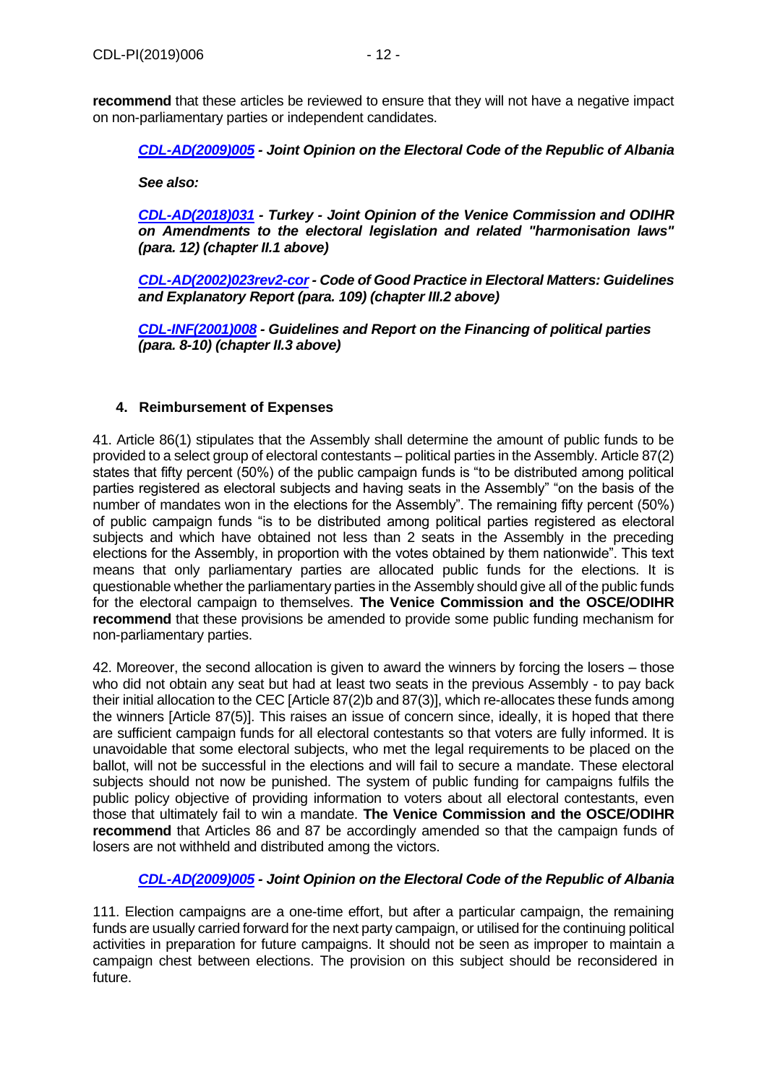**recommend** that these articles be reviewed to ensure that they will not have a negative impact on non-parliamentary parties or independent candidates.

*[CDL-AD\(2009\)005](https://www.venice.coe.int/webforms/documents/default.aspx?pdffile=CDL-AD(2009)005-e) - Joint Opinion on the Electoral Code of the Republic of Albania*

*See also:*

*[CDL-AD\(2018\)031](https://www.venice.coe.int/webforms/documents/default.aspx?pdffile=CDL-AD(2018)031-e) - Turkey - Joint Opinion of the Venice Commission and ODIHR on Amendments to the electoral legislation and related "harmonisation laws" (para. 12) (chapter II.1 above)*

*[CDL-AD\(2002\)023rev2-cor](https://www.venice.coe.int/webforms/documents/default.aspx?pdffile=CDL-AD(2002)023rev2-cor-e) - Code of Good Practice in Electoral Matters: Guidelines and Explanatory Report (para. 109) (chapter III.2 above)*

*[CDL-INF\(2001\)008](https://www.venice.coe.int/webforms/documents/default.aspx?pdffile=CDL-INF(2001)008-e) - Guidelines and Report on the Financing of political parties (para. 8-10) (chapter II.3 above)*

### **4. Reimbursement of Expenses**

41. Article 86(1) stipulates that the Assembly shall determine the amount of public funds to be provided to a select group of electoral contestants – political parties in the Assembly. Article 87(2) states that fifty percent (50%) of the public campaign funds is "to be distributed among political parties registered as electoral subjects and having seats in the Assembly" "on the basis of the number of mandates won in the elections for the Assembly". The remaining fifty percent (50%) of public campaign funds "is to be distributed among political parties registered as electoral subjects and which have obtained not less than 2 seats in the Assembly in the preceding elections for the Assembly, in proportion with the votes obtained by them nationwide". This text means that only parliamentary parties are allocated public funds for the elections. It is questionable whether the parliamentary parties in the Assembly should give all of the public funds for the electoral campaign to themselves. **The Venice Commission and the OSCE/ODIHR recommend** that these provisions be amended to provide some public funding mechanism for non-parliamentary parties.

42. Moreover, the second allocation is given to award the winners by forcing the losers – those who did not obtain any seat but had at least two seats in the previous Assembly - to pay back their initial allocation to the CEC [Article 87(2)b and 87(3)], which re-allocates these funds among the winners [Article 87(5)]. This raises an issue of concern since, ideally, it is hoped that there are sufficient campaign funds for all electoral contestants so that voters are fully informed. It is unavoidable that some electoral subjects, who met the legal requirements to be placed on the ballot, will not be successful in the elections and will fail to secure a mandate. These electoral subjects should not now be punished. The system of public funding for campaigns fulfils the public policy objective of providing information to voters about all electoral contestants, even those that ultimately fail to win a mandate. **The Venice Commission and the OSCE/ODIHR recommend** that Articles 86 and 87 be accordingly amended so that the campaign funds of losers are not withheld and distributed among the victors.

## *[CDL-AD\(2009\)005](https://www.venice.coe.int/webforms/documents/default.aspx?pdffile=CDL-AD(2009)005-e) - Joint Opinion on the Electoral Code of the Republic of Albania*

111. Election campaigns are a one-time effort, but after a particular campaign, the remaining funds are usually carried forward for the next party campaign, or utilised for the continuing political activities in preparation for future campaigns. It should not be seen as improper to maintain a campaign chest between elections. The provision on this subject should be reconsidered in future.